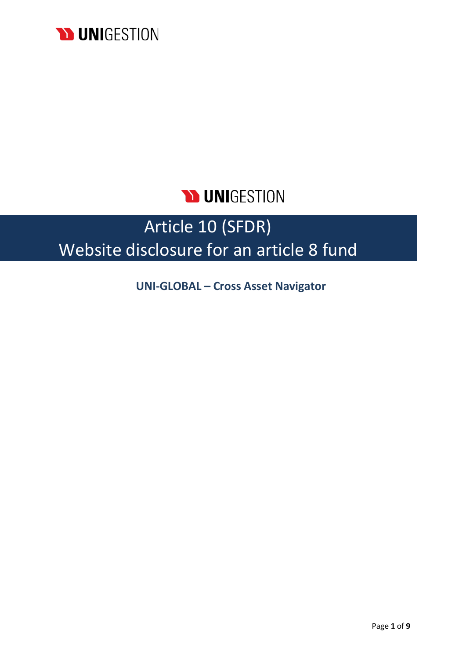

## **DUNIGESTION**

# Article 10 (SFDR) Website disclosure for an article 8 fund

**UNI-GLOBAL – Cross Asset Navigator**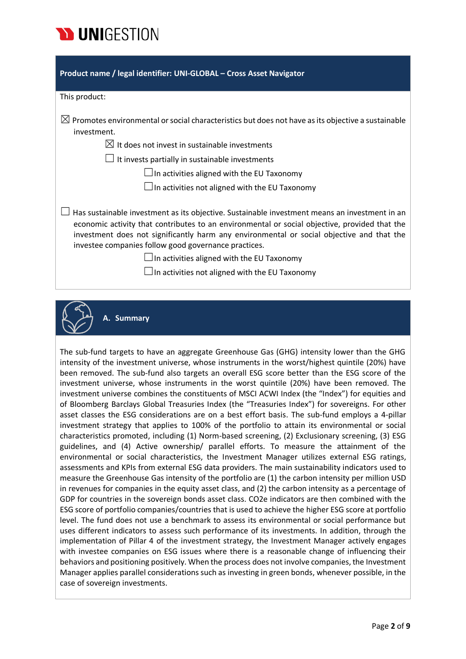

| Product name / legal identifier: UNI-GLOBAL - Cross Asset Navigator                                                                                                                                                                                                                                                                                                                                                                                               |
|-------------------------------------------------------------------------------------------------------------------------------------------------------------------------------------------------------------------------------------------------------------------------------------------------------------------------------------------------------------------------------------------------------------------------------------------------------------------|
| This product:                                                                                                                                                                                                                                                                                                                                                                                                                                                     |
| $\boxtimes$ Promotes environmental or social characteristics but does not have as its objective a sustainable<br>investment.                                                                                                                                                                                                                                                                                                                                      |
| $\boxtimes$ It does not invest in sustainable investments                                                                                                                                                                                                                                                                                                                                                                                                         |
| $\perp$ It invests partially in sustainable investments                                                                                                                                                                                                                                                                                                                                                                                                           |
| $\Box$ In activities aligned with the EU Taxonomy                                                                                                                                                                                                                                                                                                                                                                                                                 |
| $\Box$ In activities not aligned with the EU Taxonomy                                                                                                                                                                                                                                                                                                                                                                                                             |
| Has sustainable investment as its objective. Sustainable investment means an investment in an<br>economic activity that contributes to an environmental or social objective, provided that the<br>investment does not significantly harm any environmental or social objective and that the<br>investee companies follow good governance practices.<br>$\Box$ In activities aligned with the EU Taxonomy<br>$\Box$ In activities not aligned with the EU Taxonomy |



**A. Summary**

The sub-fund targets to have an aggregate Greenhouse Gas (GHG) intensity lower than the GHG intensity of the investment universe, whose instruments in the worst/highest quintile (20%) have been removed. The sub-fund also targets an overall ESG score better than the ESG score of the investment universe, whose instruments in the worst quintile (20%) have been removed. The investment universe combines the constituents of MSCI ACWI Index (the "Index") for equities and of Bloomberg Barclays Global Treasuries Index (the "Treasuries Index") for sovereigns. For other asset classes the ESG considerations are on a best effort basis. The sub-fund employs a 4-pillar investment strategy that applies to 100% of the portfolio to attain its environmental or social characteristics promoted, including (1) Norm-based screening, (2) Exclusionary screening, (3) ESG guidelines, and (4) Active ownership/ parallel efforts. To measure the attainment of the environmental or social characteristics, the Investment Manager utilizes external ESG ratings, assessments and KPIs from external ESG data providers. The main sustainability indicators used to measure the Greenhouse Gas intensity of the portfolio are (1) the carbon intensity per million USD in revenues for companies in the equity asset class, and (2) the carbon intensity as a percentage of GDP for countries in the sovereign bonds asset class. CO2e indicators are then combined with the ESG score of portfolio companies/countries that is used to achieve the higher ESG score at portfolio level. The fund does not use a benchmark to assess its environmental or social performance but uses different indicators to assess such performance of its investments. In addition, through the implementation of Pillar 4 of the investment strategy, the Investment Manager actively engages with investee companies on ESG issues where there is a reasonable change of influencing their behaviors and positioning positively. When the process does not involve companies, the Investment Manager applies parallel considerations such as investing in green bonds, whenever possible, in the case of sovereign investments.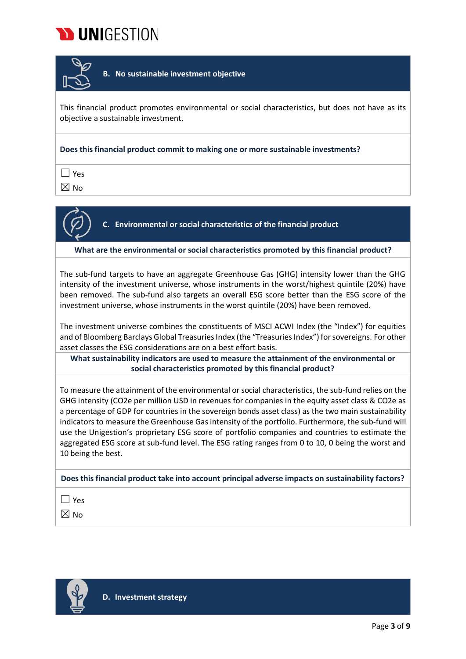



**B. No sustainable investment objective**

This financial product promotes environmental or social characteristics, but does not have as its objective a sustainable investment.

**Does this financial product commit to making one or more sustainable investments?**

 $\Box$  Yes

 $\boxtimes$  No



**C. Environmental or social characteristics of the financial product**

**What are the environmental or social characteristics promoted by this financial product?**

The sub-fund targets to have an aggregate Greenhouse Gas (GHG) intensity lower than the GHG intensity of the investment universe, whose instruments in the worst/highest quintile (20%) have been removed. The sub-fund also targets an overall ESG score better than the ESG score of the investment universe, whose instruments in the worst quintile (20%) have been removed.

The investment universe combines the constituents of MSCI ACWI Index (the "Index") for equities and of Bloomberg Barclays Global Treasuries Index (the "Treasuries Index") for sovereigns. For other asset classes the ESG considerations are on a best effort basis.

**What sustainability indicators are used to measure the attainment of the environmental or social characteristics promoted by this financial product?**

To measure the attainment of the environmental or social characteristics, the sub-fund relies on the GHG intensity (CO2e per million USD in revenues for companies in the equity asset class & CO2e as a percentage of GDP for countries in the sovereign bonds asset class) as the two main sustainability indicators to measure the Greenhouse Gas intensity of the portfolio. Furthermore, the sub-fund will use the Unigestion's proprietary ESG score of portfolio companies and countries to estimate the aggregated ESG score at sub-fund level. The ESG rating ranges from 0 to 10, 0 being the worst and 10 being the best.

**Does this financial product take into account principal adverse impacts on sustainability factors?**

☐ Yes

 $\boxtimes$  No

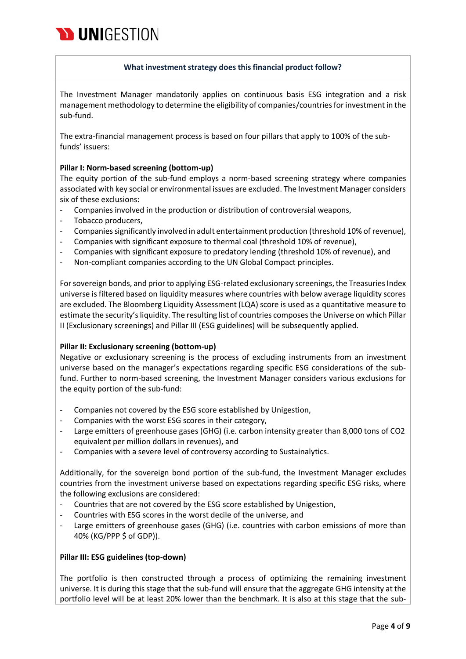

#### **What investment strategy does this financial product follow?**

The Investment Manager mandatorily applies on continuous basis ESG integration and a risk management methodology to determine the eligibility of companies/countriesfor investment in the sub-fund.

The extra-financial management process is based on four pillars that apply to 100% of the subfunds' issuers:

#### **Pillar I: Norm-based screening (bottom-up)**

The equity portion of the sub-fund employs a norm-based screening strategy where companies associated with key social or environmental issues are excluded. The Investment Manager considers six of these exclusions:

- Companies involved in the production or distribution of controversial weapons,
- Tobacco producers,
- Companies significantly involved in adult entertainment production (threshold 10% of revenue),
- Companies with significant exposure to thermal coal (threshold 10% of revenue),
- Companies with significant exposure to predatory lending (threshold 10% of revenue), and
- Non-compliant companies according to the UN Global Compact principles.

For sovereign bonds, and prior to applying ESG-related exclusionary screenings, the Treasuries Index universe is filtered based on liquidity measures where countries with below average liquidity scores are excluded. The Bloomberg Liquidity Assessment (LQA) score is used as a quantitative measure to estimate the security's liquidity. The resulting list of countries composes the Universe on which Pillar II (Exclusionary screenings) and Pillar III (ESG guidelines) will be subsequently applied.

#### **Pillar II: Exclusionary screening (bottom-up)**

Negative or exclusionary screening is the process of excluding instruments from an investment universe based on the manager's expectations regarding specific ESG considerations of the subfund. Further to norm-based screening, the Investment Manager considers various exclusions for the equity portion of the sub-fund:

- Companies not covered by the ESG score established by Unigestion,
- Companies with the worst ESG scores in their category,
- Large emitters of greenhouse gases (GHG) (i.e. carbon intensity greater than 8,000 tons of CO2 equivalent per million dollars in revenues), and
- Companies with a severe level of controversy according to Sustainalytics.

Additionally, for the sovereign bond portion of the sub-fund, the Investment Manager excludes countries from the investment universe based on expectations regarding specific ESG risks, where the following exclusions are considered:

- Countries that are not covered by the ESG score established by Unigestion,
- Countries with ESG scores in the worst decile of the universe, and
- Large emitters of greenhouse gases (GHG) (i.e. countries with carbon emissions of more than 40% (KG/PPP \$ of GDP)).

#### **Pillar III: ESG guidelines (top-down)**

The portfolio is then constructed through a process of optimizing the remaining investment universe. It is during this stage that the sub-fund will ensure that the aggregate GHG intensity at the portfolio level will be at least 20% lower than the benchmark. It is also at this stage that the sub-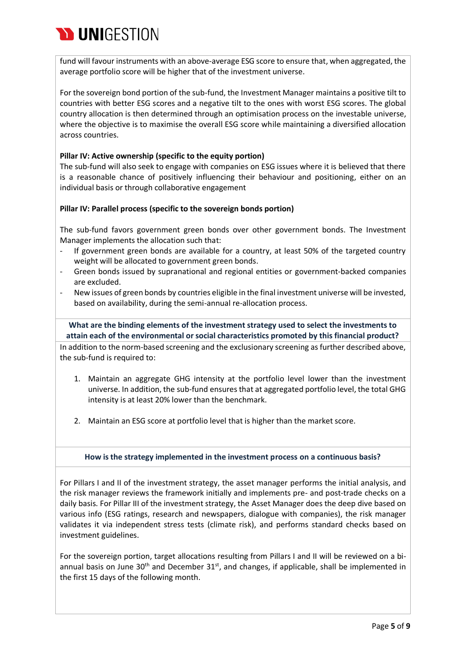

fund will favour instruments with an above-average ESG score to ensure that, when aggregated, the average portfolio score will be higher that of the investment universe.

For the sovereign bond portion of the sub-fund, the Investment Manager maintains a positive tilt to countries with better ESG scores and a negative tilt to the ones with worst ESG scores. The global country allocation is then determined through an optimisation process on the investable universe, where the objective is to maximise the overall ESG score while maintaining a diversified allocation across countries.

#### **Pillar IV: Active ownership (specific to the equity portion)**

The sub-fund will also seek to engage with companies on ESG issues where it is believed that there is a reasonable chance of positively influencing their behaviour and positioning, either on an individual basis or through collaborative engagement

#### **Pillar IV: Parallel process (specific to the sovereign bonds portion)**

The sub-fund favors government green bonds over other government bonds. The Investment Manager implements the allocation such that:

- If government green bonds are available for a country, at least 50% of the targeted country weight will be allocated to government green bonds.
- Green bonds issued by supranational and regional entities or government-backed companies are excluded.
- New issues of green bonds by countries eligible in the final investment universe will be invested, based on availability, during the semi-annual re-allocation process.

**What are the binding elements of the investment strategy used to select the investments to attain each of the environmental or social characteristics promoted by this financial product?**

In addition to the norm-based screening and the exclusionary screening as further described above, the sub-fund is required to:

- 1. Maintain an aggregate GHG intensity at the portfolio level lower than the investment universe. In addition, the sub-fund ensures that at aggregated portfolio level, the total GHG intensity is at least 20% lower than the benchmark.
- 2. Maintain an ESG score at portfolio level that is higher than the market score.

#### **How is the strategy implemented in the investment process on a continuous basis?**

For Pillars I and II of the investment strategy, the asset manager performs the initial analysis, and the risk manager reviews the framework initially and implements pre- and post-trade checks on a daily basis. For Pillar III of the investment strategy, the Asset Manager does the deep dive based on various info (ESG ratings, research and newspapers, dialogue with companies), the risk manager validates it via independent stress tests (climate risk), and performs standard checks based on investment guidelines.

For the sovereign portion, target allocations resulting from Pillars I and II will be reviewed on a biannual basis on June 30<sup>th</sup> and December 31<sup>st</sup>, and changes, if applicable, shall be implemented in the first 15 days of the following month.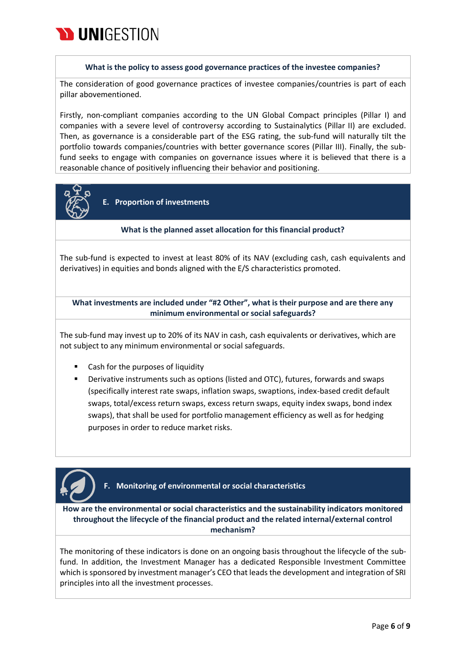

#### **What is the policy to assess good governance practices of the investee companies?**

The consideration of good governance practices of investee companies/countries is part of each pillar abovementioned.

Firstly, non-compliant companies according to the UN Global Compact principles (Pillar I) and companies with a severe level of controversy according to Sustainalytics (Pillar II) are excluded. Then, as governance is a considerable part of the ESG rating, the sub-fund will naturally tilt the portfolio towards companies/countries with better governance scores (Pillar III). Finally, the subfund seeks to engage with companies on governance issues where it is believed that there is a reasonable chance of positively influencing their behavior and positioning.



**E. Proportion of investments** 

#### **What is the planned asset allocation for this financial product?**

The sub-fund is expected to invest at least 80% of its NAV (excluding cash, cash equivalents and derivatives) in equities and bonds aligned with the E/S characteristics promoted.

**What investments are included under "#2 Other", what is their purpose and are there any minimum environmental or social safeguards?**

The sub-fund may invest up to 20% of its NAV in cash, cash equivalents or derivatives, which are not subject to any minimum environmental or social safeguards.

- Cash for the purposes of liquidity
- Derivative instruments such as options (listed and OTC), futures, forwards and swaps (specifically interest rate swaps, inflation swaps, swaptions, index-based credit default swaps, total/excess return swaps, excess return swaps, equity index swaps, bond index swaps), that shall be used for portfolio management efficiency as well as for hedging purposes in order to reduce market risks.



## **F. Monitoring of environmental or social characteristics**

**How are the environmental or social characteristics and the sustainability indicators monitored throughout the lifecycle of the financial product and the related internal/external control mechanism?**

The monitoring of these indicators is done on an ongoing basis throughout the lifecycle of the subfund. In addition, the Investment Manager has a dedicated Responsible Investment Committee which is sponsored by investment manager's CEO that leads the development and integration of SRI principles into all the investment processes.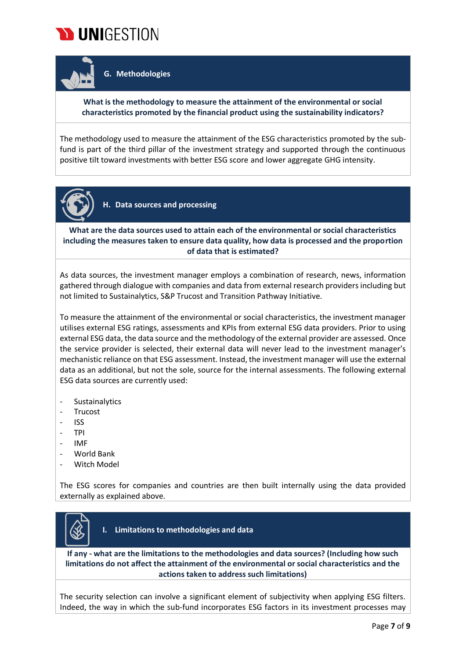

**G. Methodologies**

## **What is the methodology to measure the attainment of the environmental or social characteristics promoted by the financial product using the sustainability indicators?**

The methodology used to measure the attainment of the ESG characteristics promoted by the subfund is part of the third pillar of the investment strategy and supported through the continuous positive tilt toward investments with better ESG score and lower aggregate GHG intensity.



**H. Data sources and processing**

**What are the data sources used to attain each of the environmental or social characteristics including the measures taken to ensure data quality, how data is processed and the proportion of data that is estimated?**

As data sources, the investment manager employs a combination of research, news, information gathered through dialogue with companies and data from external research providers including but not limited to Sustainalytics, S&P Trucost and Transition Pathway Initiative.

To measure the attainment of the environmental or social characteristics, the investment manager utilises external ESG ratings, assessments and KPIs from external ESG data providers. Prior to using external ESG data, the data source and the methodology of the external provider are assessed. Once the service provider is selected, their external data will never lead to the investment manager's mechanistic reliance on that ESG assessment. Instead, the investment manager will use the external data as an additional, but not the sole, source for the internal assessments. The following external ESG data sources are currently used:

- **Sustainalytics**
- Trucost
- ISS
- TPI
- IMF
- World Bank
- Witch Model

The ESG scores for companies and countries are then built internally using the data provided externally as explained above.



**I. Limitations to methodologies and data**

**If any - what are the limitations to the methodologies and data sources? (Including how such limitations do not affect the attainment of the environmental or social characteristics and the actions taken to address such limitations)**

The security selection can involve a significant element of subjectivity when applying ESG filters. Indeed, the way in which the sub-fund incorporates ESG factors in its investment processes may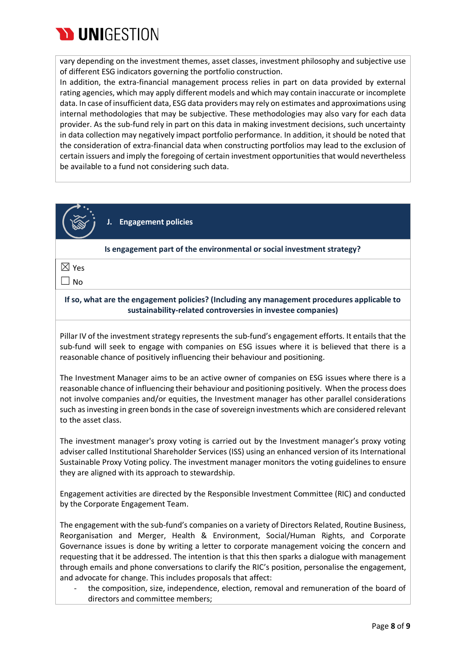

vary depending on the investment themes, asset classes, investment philosophy and subjective use of different ESG indicators governing the portfolio construction.

In addition, the extra-financial management process relies in part on data provided by external rating agencies, which may apply different models and which may contain inaccurate or incomplete data. In case of insufficient data, ESG data providers may rely on estimates and approximations using internal methodologies that may be subjective. These methodologies may also vary for each data provider. As the sub-fund rely in part on this data in making investment decisions, such uncertainty in data collection may negatively impact portfolio performance. In addition, it should be noted that the consideration of extra-financial data when constructing portfolios may lead to the exclusion of certain issuers and imply the foregoing of certain investment opportunities that would nevertheless be available to a fund not considering such data.



**J. Engagement policies**

**Is engagement part of the environmental or social investment strategy?**

☒ Yes

 $\Box$  No

### **If so, what are the engagement policies? (Including any management procedures applicable to sustainability-related controversies in investee companies)**

Pillar IV of the investment strategy represents the sub-fund's engagement efforts. It entails that the sub-fund will seek to engage with companies on ESG issues where it is believed that there is a reasonable chance of positively influencing their behaviour and positioning.

The Investment Manager aims to be an active owner of companies on ESG issues where there is a reasonable chance of influencing their behaviour and positioning positively. When the process does not involve companies and/or equities, the Investment manager has other parallel considerations such as investing in green bonds in the case of sovereign investments which are considered relevant to the asset class.

The investment manager's proxy voting is carried out by the Investment manager's proxy voting adviser called Institutional Shareholder Services (ISS) using an enhanced version of its International Sustainable Proxy Voting policy. The investment manager monitors the voting guidelines to ensure they are aligned with its approach to stewardship.

Engagement activities are directed by the Responsible Investment Committee (RIC) and conducted by the Corporate Engagement Team.

The engagement with the sub-fund's companies on a variety of Directors Related, Routine Business, Reorganisation and Merger, Health & Environment, Social/Human Rights, and Corporate Governance issues is done by writing a letter to corporate management voicing the concern and requesting that it be addressed. The intention is that this then sparks a dialogue with management through emails and phone conversations to clarify the RIC's position, personalise the engagement, and advocate for change. This includes proposals that affect:

the composition, size, independence, election, removal and remuneration of the board of directors and committee members;